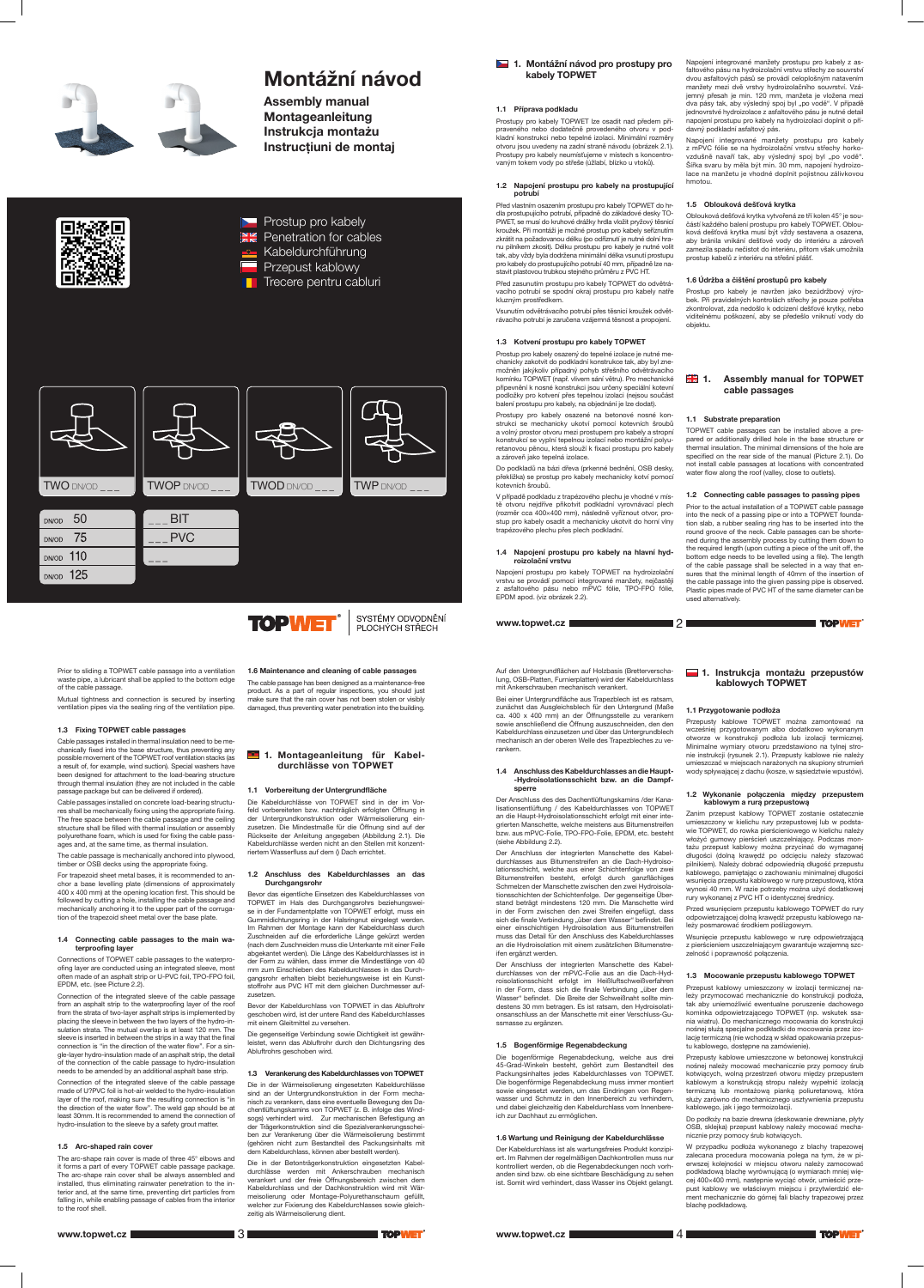# Montážní návod

Assembly manual Montageanleitung Instrukcja montażu Instrucțiuni de montaj





- **EXABEL** Kabeldurchführung
- Przepust kablowy
- Trecere pentru cabluri



# 1. Montážní návod pro prostupy pro kabely TOPWET

# 1.1 Příprava podkladu

Prostupy pro kabely TOPWET lze osadit nad předem připraveného nebo dodatečně provedeného otvoru v podkladní konstrukci nebo tepelné izolaci. Minimální rozměry otvoru jsou uvedeny na zadní straně návodu (obrázek 2.1). Prostupy pro kabely neumísťujeme v místech s koncentrovaným tokem vody po střeše (úžlabí, blízko u vtoků).

#### 1.2 Napojení prostupu pro kabely na prostupující potrubí

Před vlastním osazením prostupu pro kabely TOPWET do hrdla prostupujícího potrubí, případně do základové desky TO-PWET, se musí do kruhové drážky hrdla vložit pryžový těsnicí kroužek. Při montáži je možné prostup pro kabely seříznutím zkrátit na požadovanou délku (po odříznutí je nutné dolní hranu pilníkem zkosit). Délku prostupu pro kabely je nutné volit tak, aby vždy byla dodržena minimální délka vsunutí prostupu pro kabely do prostupujícího potrubí 40 mm, případně lze nastavit plastovou trubkou stejného průměru z PVC HT.

Před zasunutím prostupu pro kabely TOPWET do odvětrávacího potrubí se spodní okraj prostupu pro kabely natře kluzným prostředkem.

Vsunutím odvětrávacího potrubí přes těsnicí kroužek odvětrávacího potrubí je zaručena vzájemná těsnost a propojení.

#### 1.3 Kotvení prostupu pro kabely TOPWET

Prostup pro kabely osazený do tepelné izolace je nutné mechanicky zakotvit do podkladní konstrukce tak, aby byl znemožněn jakýkoliv případný pohyb střešního odvětrávacího komínku TOPWET (např. vlivem sání větru). Pro mechanické připevnění k nosné konstrukci jsou určeny speciální kotevní podložky pro kotvení přes tepelnou izolaci (nejsou součást balení prostupu pro kabely, na objednání je lze dodat).

Prostupy pro kabely osazené na betonové nosné konstrukci se mechanicky ukotví pomocí kotevních šroubů a volný prostor otvoru mezi prostupem pro kabely a stropní konstrukcí se vyplní tepelnou izolací nebo montážní polyuretanovou pěnou, která slouží k fixaci prostupu pro kabely a zároveň jako tepelná izolace.

# **1.** Assembly manual for TOPWET cable passages

Do podkladů na bázi dřeva (prkenné bednění, OSB desky, překližka) se prostup pro kabely mechanicky kotví pomocí kotevních šroubů.

V případě podkladu z trapézového plechu je vhodné v místě otvoru nejdříve přikotvit podkladní vyrovnávací plech (rozměr cca 400×400 mm), následně vyříznout otvor, prostup pro kabely osadit a mechanicky ukotvit do horní vlny trapézového plechu přes plech podkladní.

#### 1.4 Napojení prostupu pro kabely na hlavní hydroizolační vrstvu

Napojení prostupu pro kabely TOPWET na hydroizolační vrstvu se provádí pomocí integrované manžety, nejčastěji z asfaltového pásu nebo mPVC fólie, TPO-FPO fólie, EPDM apod. (viz obrázek 2.2).

Napojení integrované manžety prostupu pro kabely z asfaltového pásu na hydroizolační vrstvu střechy ze souvrství dvou asfaltových pásů se provádí celoplošným natavením manžety mezi dvě vrstvy hydroizolačního souvrství. Vzájemný přesah je min. 120 mm, manžeta je vložena mezi dva pásy tak, aby výsledný spoj byl "po vodě". V případě jednovrstvé hydroizolace z asfaltového pásu je nutné detail napojení prostupu pro kabely na hydroizolaci doplnit o přídavný podkladní asfaltový pás.

Napojení integrované manžety prostupu pro kabely z mPVC fólie se na hydroizolační vrstvu střechy horkovzdušně navaří tak, aby výsledný spoj byl "po vodě". Šířka svaru by měla být min. 30 mm, napojení hydroizolace na manžetu je vhodné doplnit pojistnou zálivkovou hmotou.

#### Connecting cable passages to the main terproofing layer

#### 1.5 Oblouková dešťová krytka

Oblouková dešťová krytka vytvořená ze tří kolen 45° je součástí každého balení prostupu pro kabely TOPWET. Oblouková dešťová krytka musí být vždy sestavena a osazena, aby bránila vnikání dešťové vody do interiéru a zároveň zamezila spadu nečistot do interiéru, přitom však umožnila prostup kabelů z interiéru na střešní plášť.

# 1.6 Údržba a čištění prostupů pro kabely

Prostup pro kabely je navržen jako bezúdržbový výrobek. Při pravidelných kontrolách střechy je pouze potřeba zkontrolovat, zda nedošlo k odcizení dešťové krytky, nebo viditelnému poškození, aby se předešlo vniknutí vody do objektu.

### 1.1 Substrate preparation

# 1. Montageanleitung für Kabeldurchlässe von TOPWET

TOPWET cable passages can be installed above a prepared or additionally drilled hole in the base structure or thermal insulation. The minimal dimensions of the hole are specified on the rear side of the manual (Picture 2.1). Do not install cable passages at locations with concentrated water flow along the roof (valley, close to outlets).

1.2 Connecting cable passages to passing pipes

Prior to the actual installation of a TOPWET cable passage into the neck of a passing pipe or into a TOPWET foundation slab, a rubber sealing ring has to be inserted into the round groove of the neck. Cable passages can be shortened during the assembly process by cutting them down to the required length (upon cutting a piece of the unit off, the bottom edge needs to be levelled using a file). The length of the cable passage shall be selected in a way that ensures that the minimal length of 40mm of the insertion of the cable passage into the given passing pipe is observed. Plastic pipes made of PVC HT of the same diameter can be used alternatively.

Prior to sliding a TOPWET cable passage into a ventilation waste pipe, a lubricant shall be applied to the bottom edge of the cable passage.

Mutual tightness and connection is secured by inserting ventilation pipes via the sealing ring of the ventilation pipe.

# 1.3 Fixing TOPWET cable passages

DN/OD 125

Cable passages installed in thermal insulation need to be mechanically fixed into the base structure, thus preventing any possible movement of the TOPWET roof ventilation stacks (as a result of, for example, wind suction). Special washers have been designed for attachment to the load-bearing structure through thermal insulation (they are not included in the cable passage package but can be delivered if ordered).

Cable passages installed on concrete load-bearing structures shall be mechanically fixing using the appropriate fixing. The free space between the cable passage and the ceiling structure shall be filled with thermal insulation or assembly polyurethane foam, which is used for fixing the cable passages and, at the same time, as thermal insulation.

The cable passage is mechanically anchored into plywood, timber or OSB decks using the appropriate fixing.

For trapezoid sheet metal bases, it is recommended to anchor a base levelling plate (dimensions of approximately 400 x 400 mm) at the opening location first. This should be followed by cutting a hole, installing the cable passage and mechanically anchoring it to the upper part of the corrugation of the trapezoid sheet metal over the base plate.

# 1. Instrukcja montażu przepustów kablowych TOPWET

**TOPWET** 

Connections of TOPWET cable passages to the waterproofing layer are conducted using an integrated sleeve, most often made of an asphalt strip or U-PVC foil, TPO-FPO foil, EPDM, etc. (see Picture 2.2).

Connection of the integrated sleeve of the cable passage from an asphalt strip to the waterproofing layer of the roof from the strata of two-layer asphalt strips is implemented by placing the sleeve in between the two layers of the hydro-insulation strata. The mutual overlap is at least 120 mm. The sleeve is inserted in between the strips in a way that the final connection is "in the direction of the water flow". For a single-layer hydro-insulation made of an asphalt strip, the detail of the connection of the cable passage to hydro-insulation needs to be amended by an additional asphalt base strip.

Przepust kablowy umieszczony w izolacji termicznej należy przymocować mechanicznie do konstrukcji podłoża, tak aby uniemożliwić ewentualne poruszenie dachowego kominka odpowietrzającego TOPWET (np. wskutek ssania wiatru). Do mechanicznego mocowania do konstrukcji nośnej służą specjalne podkładki do mocowania przez izolację termiczną (nie wchodzą w skład opakowania przepustu kablowego, dostępne na zamówienie).

Connection of the integrated sleeve of the cable passage made of U?PVC foil is hot-air welded to the hydro-insulation layer of the roof, making sure the resulting connection is "in the direction of the water flow". The weld gap should be at least 30mm. It is recommended to amend the connection of hydro-insulation to the sleeve by a safety grout matter.

#### 1.5 Arc-shaped rain cover

The arc-shape rain cover is made of three 45° elbows and it forms a part of every TOPWET cable passage package. The arc-shape rain cover shall be always assembled and installed, thus eliminating rainwater penetration to the interior and, at the same time, preventing dirt particles from falling in, while enabling passage of cables from the interior to the roof shell.



# 1.6 Maintenance and cleaning of cable passages

**TOPWET** 

SYSTÉMY ODVODNĚNÍ

PLOCHÝCH STŘECH

The cable passage has been designed as a maintenance-free product. As a part of regular inspections, you should just make sure that the rain cover has not been stolen or visibly damaged, thus preventing water penetration into the building.

# 1.1 Vorbereitung der Untergrundfläche

Die Kabeldurchlässe von TOPWET sind in der im Vorfeld vorbereiteten bzw. nachträglich erfolgten Öffnung in der Untergrundkonstruktion oder Wärmeisolierung einzusetzen. Die Mindestmaße für die Öffnung sind auf der Rückseite der Anleitung angegeben (Abbildung 2.1). Die Kabeldurchlässe werden nicht an den Stellen mit konzentriertem Wasserfluss auf dem () Dach errichtet.

#### 1.2 Anschluss des Kabeldurchlasses an das Durchgangsrohr

Bevor das eigentliche Einsetzen des Kabeldurchlasses von TOPWET im Hals des Durchgangsrohrs beziehungsweise in der Fundamentplatte von TOPWET erfolgt, muss ein Gummidichtungsring in der Halsringnut eingelegt werden. Im Rahmen der Montage kann der Kabeldurchlass durch Zuschneiden auf die erforderliche Länge gekürzt werden (nach dem Zuschneiden muss die Unterkante mit einer Feile abgekantet werden). Die Länge des Kabeldurchlasses ist in der Form zu wählen, dass immer die Mindestlänge von 40 mm zum Einschieben des Kabeldurchlasses in das Durchgangsrohr erhalten bleibt beziehungsweise ist ein Kunststoffrohr aus PVC HT mit dem gleichen Durchmesser aufzusetzen.

Bevor der Kabeldurchlass von TOPWET in das Abluftrohr geschoben wird, ist der untere Rand des Kabeldurchlasses mit einem Gleitmittel zu versehen.

Die gegenseitige Verbindung sowie Dichtigkeit ist gewährleistet, wenn das Abluftrohr durch den Dichtungsring des Abluftrohrs geschoben wird.

### 1.3 Verankerung des Kabeldurchlasses von TOPWET

Die in der Wärmeisolierung eingesetzten Kabeldurchlässe sind an der Untergrundkonstruktion in der Form mechanisch zu verankern, dass eine eventuelle Bewegung des Dachentlüftungskamins von TOPWET (z. B. infolge des Windsogs) verhindert wird. Zur mechanischen Befestigung an der Trägerkonstruktion sind die Spezialverankerungsscheiben zur Verankerung über die Wärmeisolierung bestimmt (gehören nicht zum Bestandteil des Packungsinhalts mit dem Kabeldurchlass, können aber bestellt werden).

Die in der Betonträgerkonstruktion eingesetzten Kabeldurchlässe werden mit Ankerschrauben mechanisch verankert und der freie Öffnungsbereich zwischen dem Kabeldurchlass und der Dachkonstruktion wird mit Wärmeisolierung oder Montage-Polyurethanschaum gefüllt, welcher zur Fixierung des Kabeldurchlasses sowie gleichzeitig als Wärmeisolierung dient.

Auf den Untergrundflächen auf Holzbasis (Bretterverschalung, OSB-Platten, Furnierplatten) wird der Kabeldurchlass mit Ankerschrauben mechanisch verankert.

Bei einer Untergrundfläche aus Trapezblech ist es ratsam, zunächst das Ausgleichsblech für den Untergrund (Maße ca. 400 x 400 mm) an der Öffnungsstelle zu verankern sowie anschließend die Öffnung auszuschneiden, den den Kabeldurchlass einzusetzen und über das Untergrundblech mechanisch an der oberen Welle des Trapezbleches zu verankern.

#### 1.4 Anschluss des Kabeldurchlasses an die Haupt- -Hydroisolationsschicht bzw. an die Dampfsperre

Der Anschluss des des Dachentlüftungskamins /der Kanalisationsentlüftung / des Kabeldurchlasses von TOPWET an die Haupt-Hydroisolationsschicht erfolgt mit einer integrierten Manschette, welche meistens aus Bitumenstreifen bzw. aus mPVC-Folie, TPO-FPO-Folie, EPDM, etc. besteht (siehe Abbildung 2.2).

Der Anschluss der integrierten Manschette des Kabeldurchlasses aus Bitumenstreifen an die Dach-Hydroisolationsschicht, welche aus einer Schichtenfolge von zwei Bitumenstreifen besteht, erfolgt durch ganzflächiges Schmelzen der Manschette zwischen den zwei Hydroisolationsschichten der Schichtenfolge. Der gegenseitige Überstand beträgt mindestens 120 mm. Die Manschette wird in der Form zwischen den zwei Streifen eingefügt, dass sich die finale Verbindung "über dem Wasser" befindet. Bei einer einschichtigen Hydroisolation aus Bitumenstreifen muss das Detail für den Anschluss des Kabeldurchlasses

an die Hydroisolation mit einem zusätzlichen Bitumenstreifen ergänzt werden.

Der Anschluss der integrierten Manschette des Kabeldurchlasses von der mPVC-Folie aus an die Dach-Hydroisolationsschicht erfolgt im Heißluftschweißverfahren in der Form, dass sich die finale Verbindung "über dem Wasser" befindet. Die Breite der Schweißnaht sollte mindestens 30 mm betragen. Es ist ratsam, den Hydroisolationsanschluss an der Manschette mit einer Verschluss-Gussmasse zu ergänzen.

### 1.5 Bogenförmige Regenabdeckung

Die bogenförmige Regenabdeckung, welche aus drei 45-Grad-Winkeln besteht, gehört zum Bestandteil des Packungsinhaltes jedes Kabeldurchlasses von TOPWET. Die bogenförmige Regenabdeckung muss immer montiert sowie eingesetzt werden, um das Eindringen von Regenwasser und Schmutz in den Innenbereich zu verhindern, und dabei gleichzeitig den Kabeldurchlass vom Innenbereich zur Dachhaut zu ermöglichen.

### 1.6 Wartung und Reinigung der Kabeldurchlässe

Der Kabeldurchlass ist als wartungsfreies Produkt konzipiert. Im Rahmen der regelmäßigen Dachkontrollen muss nur kontrolliert werden, ob die Regenabdeckungen noch vorhanden sind bzw. ob eine sichtbare Beschädigung zu sehen ist. Somit wird verhindert, dass Wasser ins Objekt gelangt.

# 1.1 Przygotowanie podłoża

■2

Przepusty kablowe TOPWET można zamontować na wcześniej przygotowanym albo dodatkowo wykonanym otworze w konstrukcji podłoża lub izolacji termicznej. Minimalne wymiary otworu przedstawiono na tylnej stronie instrukcji (rysunek 2.1). Przepusty kablowe nie należy umieszczać w miejscach narażonych na skupiony strumień wody spływającej z dachu (kosze, w sąsiedztwie wpustów).

#### 1.2 Wykonanie połączenia między przepustem kablowym a rurą przepustową

Zanim przepust kablowy TOPWET zostanie ostatecznie umieszczony w kielichu rury przepustowej lub w podstawie TOPWET, do rowka pierścieniowego w kielichu należy włożyć gumowy pierścień uszczelniający. Podczas montażu przepust kablowy można przycinać do wymaganej długości (dolną krawędź po odcięciu należy sfazować pilnikiem). Należy dobrać odpowiednią długość przepustu kablowego, pamiętając o zachowaniu minimalnej długości wsunięcia przepustu kablowego w rurę przepustową, która wynosi 40 mm. W razie potrzeby można użyć dodatkowej rury wykonanej z PVC HT o identycznej średnicy.

Przed wsunięciem przepustu kablowego TOPWET do rury odpowietrzającej dolną krawędź przepustu kablowego należy posmarować środkiem poślizgowym.

Wsunięcie przepustu kablowego w rurę odp

z pierścieniem uszczelniającym gwarantuje wzajemną szczelność i poprawność połączenia.

#### 1.3 Mocowanie przepustu kablowego TOPWET

Przepusty kablowe umieszczone w betonowej konstrukcji nośnej należy mocować mechanicznie przy pomocy śrub kotwiących, wolną przestrzeń otworu między przepustem kablowym a konstrukcją stropu należy wypełnić izolacją termiczną lub montażową pianką poliuretanową, która służy zarówno do mechanicznego usztywnienia przepustu kablowego, jak i jego termoizolacji.

Do podłoży na bazie drewna (deskowanie drewniane, płyty OSB, sklejka) przepust kablowy należy mocować mechanicznie przy pomocy śrub kotwiących.

W przypadku podłoża wykonanego z blachy trapezowej zalecana procedura mocowania polega na tym, że w pierwszej kolejności w miejscu otworu należy zamocować podkładową blachę wyrównującą (o wymiarach mniej więcej 400×400 mm), następnie wyciąć otwór, umieścić przepust kablowy we właściwym miejscu i przytwierdzić element mechanicznie do górnej fali blachy trapezowej przez blachę podkładową.

www.topwet.cz  $\blacksquare$  3  $\blacksquare$  3  $\blacksquare$   $\blacksquare$   $\blacksquare$   $\blacksquare$   $\blacksquare$   $\blacksquare$   $\blacksquare$   $\blacksquare$   $\blacksquare$   $\blacksquare$   $\blacksquare$   $\blacksquare$   $\blacksquare$   $\blacksquare$   $\blacksquare$   $\blacksquare$   $\blacksquare$   $\blacksquare$   $\blacksquare$   $\blacksquare$   $\blacksquare$   $\blacksquare$   $\blacksquare$   $\blacksquare$   $\blacksquare$   $\blacksquare$   $\blacksquare$ 

www.topwet.cz